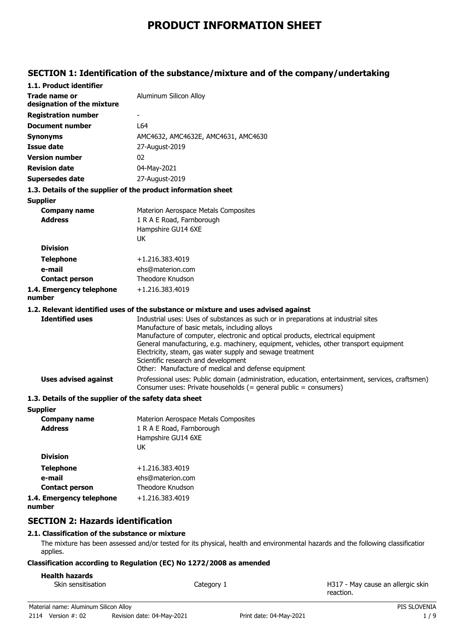# **PRODUCT INFORMATION SHEET**

# **SECTION 1: Identification of the substance/mixture and of the company/undertaking**

| 1.1. Product identifier                               |                                                                                                                                                                                                                                                                                                                                                                                                                                                                           |
|-------------------------------------------------------|---------------------------------------------------------------------------------------------------------------------------------------------------------------------------------------------------------------------------------------------------------------------------------------------------------------------------------------------------------------------------------------------------------------------------------------------------------------------------|
| Trade name or<br>designation of the mixture           | Aluminum Silicon Alloy                                                                                                                                                                                                                                                                                                                                                                                                                                                    |
| <b>Registration number</b>                            |                                                                                                                                                                                                                                                                                                                                                                                                                                                                           |
| Document number                                       | L64                                                                                                                                                                                                                                                                                                                                                                                                                                                                       |
| <b>Synonyms</b>                                       | AMC4632, AMC4632E, AMC4631, AMC4630                                                                                                                                                                                                                                                                                                                                                                                                                                       |
| <b>Issue date</b>                                     | 27-August-2019                                                                                                                                                                                                                                                                                                                                                                                                                                                            |
| <b>Version number</b>                                 | 02                                                                                                                                                                                                                                                                                                                                                                                                                                                                        |
| <b>Revision date</b>                                  | 04-May-2021                                                                                                                                                                                                                                                                                                                                                                                                                                                               |
| <b>Supersedes date</b>                                | 27-August-2019                                                                                                                                                                                                                                                                                                                                                                                                                                                            |
|                                                       | 1.3. Details of the supplier of the product information sheet                                                                                                                                                                                                                                                                                                                                                                                                             |
| <b>Supplier</b>                                       |                                                                                                                                                                                                                                                                                                                                                                                                                                                                           |
| <b>Company name</b>                                   | Materion Aerospace Metals Composites                                                                                                                                                                                                                                                                                                                                                                                                                                      |
| <b>Address</b>                                        | 1 R A E Road, Farnborough                                                                                                                                                                                                                                                                                                                                                                                                                                                 |
|                                                       | Hampshire GU14 6XE                                                                                                                                                                                                                                                                                                                                                                                                                                                        |
|                                                       | <b>UK</b>                                                                                                                                                                                                                                                                                                                                                                                                                                                                 |
| <b>Division</b>                                       |                                                                                                                                                                                                                                                                                                                                                                                                                                                                           |
| <b>Telephone</b>                                      | +1.216.383.4019                                                                                                                                                                                                                                                                                                                                                                                                                                                           |
| e-mail                                                | ehs@materion.com<br>Theodore Knudson                                                                                                                                                                                                                                                                                                                                                                                                                                      |
| <b>Contact person</b>                                 |                                                                                                                                                                                                                                                                                                                                                                                                                                                                           |
| 1.4. Emergency telephone<br>number                    | +1.216.383.4019                                                                                                                                                                                                                                                                                                                                                                                                                                                           |
|                                                       | 1.2. Relevant identified uses of the substance or mixture and uses advised against                                                                                                                                                                                                                                                                                                                                                                                        |
| <b>Identified uses</b>                                | Industrial uses: Uses of substances as such or in preparations at industrial sites<br>Manufacture of basic metals, including alloys<br>Manufacture of computer, electronic and optical products, electrical equipment<br>General manufacturing, e.g. machinery, equipment, vehicles, other transport equipment<br>Electricity, steam, gas water supply and sewage treatment<br>Scientific research and development<br>Other: Manufacture of medical and defense equipment |
| <b>Uses advised against</b>                           | Professional uses: Public domain (administration, education, entertainment, services, craftsmen)<br>Consumer uses: Private households (= general public = consumers)                                                                                                                                                                                                                                                                                                      |
| 1.3. Details of the supplier of the safety data sheet |                                                                                                                                                                                                                                                                                                                                                                                                                                                                           |
| <b>Supplier</b>                                       |                                                                                                                                                                                                                                                                                                                                                                                                                                                                           |
| <b>Company name</b>                                   | Materion Aerospace Metals Composites                                                                                                                                                                                                                                                                                                                                                                                                                                      |
| <b>Address</b>                                        | 1 R A E Road, Farnborough                                                                                                                                                                                                                                                                                                                                                                                                                                                 |
|                                                       | Hampshire GU14 6XE                                                                                                                                                                                                                                                                                                                                                                                                                                                        |
| <b>Division</b>                                       | UK                                                                                                                                                                                                                                                                                                                                                                                                                                                                        |
|                                                       |                                                                                                                                                                                                                                                                                                                                                                                                                                                                           |
| <b>Telephone</b><br>e-mail                            | +1.216.383.4019<br>ehs@materion.com                                                                                                                                                                                                                                                                                                                                                                                                                                       |
| <b>Contact person</b>                                 | Theodore Knudson                                                                                                                                                                                                                                                                                                                                                                                                                                                          |
| 1.4. Emergency telephone                              | +1.216.383.4019                                                                                                                                                                                                                                                                                                                                                                                                                                                           |
| number                                                |                                                                                                                                                                                                                                                                                                                                                                                                                                                                           |
|                                                       |                                                                                                                                                                                                                                                                                                                                                                                                                                                                           |

### **SECTION 2: Hazards identification**

### **2.1. Classification of the substance or mixture**

The mixture has been assessed and/or tested for its physical, health and environmental hazards and the following classification applies.

### **Classification according to Regulation (EC) No 1272/2008 as amended**

### **Health hazards**

| Skin sensitisation<br>Category 1 |  |
|----------------------------------|--|

H317 - May cause an allergic skin reaction.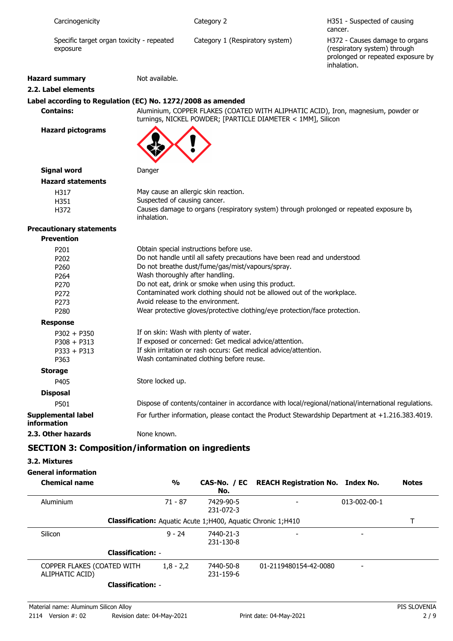| Carcinogenicity       |                                           | Category 2                      | H351 - Suspected of causing<br>cancer.                                                                             |
|-----------------------|-------------------------------------------|---------------------------------|--------------------------------------------------------------------------------------------------------------------|
| exposure              | Specific target organ toxicity - repeated | Category 1 (Respiratory system) | H372 - Causes damage to organs<br>(respiratory system) through<br>prolonged or repeated exposure by<br>inhalation. |
| <b>Hazard summary</b> | Not available.                            |                                 |                                                                                                                    |
| 2.2. Label elements   |                                           |                                 |                                                                                                                    |

### **Label according to Regulation (EC) No. 1272/2008 as amended**

**Contains:** Aluminium, COPPER FLAKES (COATED WITH ALIPHATIC ACID), Iron, magnesium, powder or turnings, NICKEL POWDER; [PARTICLE DIAMETER < 1MM], Silicon

**Hazard pictograms**



### **Signal word** Danger **Hazard statements**

| נמו ט אנמנכוווכוונא |                                                                                        |
|---------------------|----------------------------------------------------------------------------------------|
| H317                | May cause an allergic skin reaction.                                                   |
| H351                | Suspected of causing cancer.                                                           |
| H372                | Causes damage to organs (respiratory system) through prolonged or repeated exposure by |
|                     | inhalation.                                                                            |

### **Precautionary statements**

| <b>Prevention</b>                        |                                                                                                     |
|------------------------------------------|-----------------------------------------------------------------------------------------------------|
| P <sub>201</sub>                         | Obtain special instructions before use.                                                             |
| P <sub>202</sub>                         | Do not handle until all safety precautions have been read and understood.                           |
| P <sub>260</sub>                         | Do not breathe dust/fume/gas/mist/vapours/spray.                                                    |
| P <sub>264</sub>                         | Wash thoroughly after handling.                                                                     |
| P <sub>270</sub>                         | Do not eat, drink or smoke when using this product.                                                 |
| P <sub>272</sub>                         | Contaminated work clothing should not be allowed out of the workplace.                              |
| P <sub>273</sub>                         | Avoid release to the environment.                                                                   |
| P <sub>280</sub>                         | Wear protective gloves/protective clothing/eye protection/face protection.                          |
| <b>Response</b>                          |                                                                                                     |
| $P302 + P350$                            | If on skin: Wash with plenty of water.                                                              |
| $P308 + P313$                            | If exposed or concerned: Get medical advice/attention.                                              |
| $P333 + P313$                            | If skin irritation or rash occurs: Get medical advice/attention.                                    |
| P363                                     | Wash contaminated clothing before reuse.                                                            |
| <b>Storage</b>                           |                                                                                                     |
| P405                                     | Store locked up.                                                                                    |
| <b>Disposal</b>                          |                                                                                                     |
| P501                                     | Dispose of contents/container in accordance with local/regional/national/international regulations. |
| Supplemental label<br><b>information</b> | For further information, please contact the Product Stewardship Department at +1.216.383.4019.      |
| 2.3. Other hazards                       | None known.                                                                                         |

# **SECTION 3: Composition/information on ingredients**

### **3.2. Mixtures**

### **General information**

| <b>Chemical name</b>                          | $\frac{0}{0}$ | No.                                                                 | CAS-No. / EC REACH Registration No. Index No. |                          | <b>Notes</b> |
|-----------------------------------------------|---------------|---------------------------------------------------------------------|-----------------------------------------------|--------------------------|--------------|
| Aluminium                                     | 71 - 87       | 7429-90-5<br>231-072-3                                              |                                               | $013 - 002 - 00 - 1$     |              |
|                                               |               | <b>Classification:</b> Aguatic Acute 1;H400, Aguatic Chronic 1;H410 |                                               |                          |              |
| Silicon                                       | $9 - 24$      | 7440-21-3<br>231-130-8                                              |                                               |                          |              |
| <b>Classification: -</b>                      |               |                                                                     |                                               |                          |              |
| COPPER FLAKES (COATED WITH<br>ALIPHATIC ACID) | $1,8 - 2,2$   | 7440-50-8<br>231-159-6                                              | 01-2119480154-42-0080                         | $\overline{\phantom{0}}$ |              |
| <b>Classification: -</b>                      |               |                                                                     |                                               |                          |              |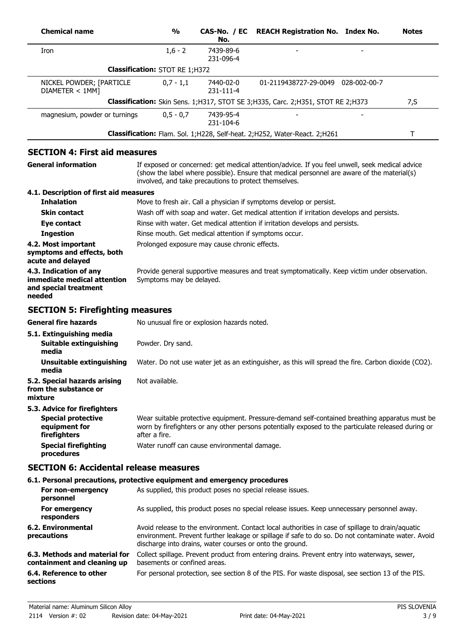| <b>Chemical name</b>                                                                       | $\frac{1}{2}$                                         | CAS-No. / EC<br>No.    | <b>REACH Registration No. Index No.</b>                                                                                                                                                                                                                            | <b>Notes</b> |
|--------------------------------------------------------------------------------------------|-------------------------------------------------------|------------------------|--------------------------------------------------------------------------------------------------------------------------------------------------------------------------------------------------------------------------------------------------------------------|--------------|
| Iron                                                                                       | $1,6 - 2$                                             | 7439-89-6<br>231-096-4 |                                                                                                                                                                                                                                                                    |              |
|                                                                                            | <b>Classification: STOT RE 1;H372</b>                 |                        |                                                                                                                                                                                                                                                                    |              |
| NICKEL POWDER; [PARTICLE<br>DIAMETER < 1MM]                                                | $0,7 - 1,1$                                           | 7440-02-0<br>231-111-4 | 01-2119438727-29-0049 028-002-00-7                                                                                                                                                                                                                                 |              |
|                                                                                            |                                                       |                        | Classification: Skin Sens. 1; H317, STOT SE 3; H335, Carc. 2; H351, STOT RE 2; H373                                                                                                                                                                                | 7, S         |
| magnesium, powder or turnings                                                              | $0,5 - 0,7$                                           | 7439-95-4<br>231-104-6 |                                                                                                                                                                                                                                                                    |              |
|                                                                                            |                                                       |                        | Classification: Flam. Sol. 1; H228, Self-heat. 2; H252, Water-React. 2; H261                                                                                                                                                                                       | T            |
| <b>SECTION 4: First aid measures</b>                                                       |                                                       |                        |                                                                                                                                                                                                                                                                    |              |
| <b>General information</b>                                                                 | involved, and take precautions to protect themselves. |                        | If exposed or concerned: get medical attention/advice. If you feel unwell, seek medical advice<br>(show the label where possible). Ensure that medical personnel are aware of the material(s)                                                                      |              |
| 4.1. Description of first aid measures                                                     |                                                       |                        |                                                                                                                                                                                                                                                                    |              |
| <b>Inhalation</b>                                                                          |                                                       |                        | Move to fresh air. Call a physician if symptoms develop or persist.                                                                                                                                                                                                |              |
| <b>Skin contact</b>                                                                        |                                                       |                        | Wash off with soap and water. Get medical attention if irritation develops and persists.                                                                                                                                                                           |              |
| Eye contact<br><b>Ingestion</b>                                                            | Rinse mouth. Get medical attention if symptoms occur. |                        | Rinse with water. Get medical attention if irritation develops and persists.                                                                                                                                                                                       |              |
| 4.2. Most important<br>symptoms and effects, both<br>acute and delayed                     | Prolonged exposure may cause chronic effects.         |                        |                                                                                                                                                                                                                                                                    |              |
| 4.3. Indication of any<br>immediate medical attention<br>and special treatment<br>needed   | Symptoms may be delayed.                              |                        | Provide general supportive measures and treat symptomatically. Keep victim under observation.                                                                                                                                                                      |              |
| <b>SECTION 5: Firefighting measures</b>                                                    |                                                       |                        |                                                                                                                                                                                                                                                                    |              |
| <b>General fire hazards</b>                                                                | No unusual fire or explosion hazards noted.           |                        |                                                                                                                                                                                                                                                                    |              |
| 5.1. Extinguishing media<br>Suitable extinguishing                                         | Powder. Dry sand.                                     |                        |                                                                                                                                                                                                                                                                    |              |
| media<br><b>Unsuitable extinguishing</b>                                                   |                                                       |                        | Water. Do not use water jet as an extinguisher, as this will spread the fire. Carbon dioxide (CO2).                                                                                                                                                                |              |
| media<br>5.2. Special hazards arising<br>from the substance or<br>mixture                  | Not available.                                        |                        |                                                                                                                                                                                                                                                                    |              |
| 5.3. Advice for firefighters<br><b>Special protective</b><br>equipment for<br>firefighters | after a fire.                                         |                        | Wear suitable protective equipment. Pressure-demand self-contained breathing apparatus must be<br>worn by firefighters or any other persons potentially exposed to the particulate released during or                                                              |              |
| <b>Special firefighting</b><br>procedures                                                  | Water runoff can cause environmental damage.          |                        |                                                                                                                                                                                                                                                                    |              |
| <b>SECTION 6: Accidental release measures</b>                                              |                                                       |                        |                                                                                                                                                                                                                                                                    |              |
| 6.1. Personal precautions, protective equipment and emergency procedures                   |                                                       |                        |                                                                                                                                                                                                                                                                    |              |
| For non-emergency<br>personnel                                                             |                                                       |                        | As supplied, this product poses no special release issues.                                                                                                                                                                                                         |              |
| For emergency<br>responders                                                                |                                                       |                        | As supplied, this product poses no special release issues. Keep unnecessary personnel away.                                                                                                                                                                        |              |
| <b>6.2. Environmental</b><br>precautions                                                   |                                                       |                        | Avoid release to the environment. Contact local authorities in case of spillage to drain/aquatic<br>environment. Prevent further leakage or spillage if safe to do so. Do not contaminate water. Avoid<br>discharge into drains, water courses or onto the ground. |              |
| 6.3. Methods and material for<br>containment and cleaning up                               | basements or confined areas.                          |                        | Collect spillage. Prevent product from entering drains. Prevent entry into waterways, sewer,                                                                                                                                                                       |              |
| 6.4. Reference to other<br>sections                                                        |                                                       |                        | For personal protection, see section 8 of the PIS. For waste disposal, see section 13 of the PIS.                                                                                                                                                                  |              |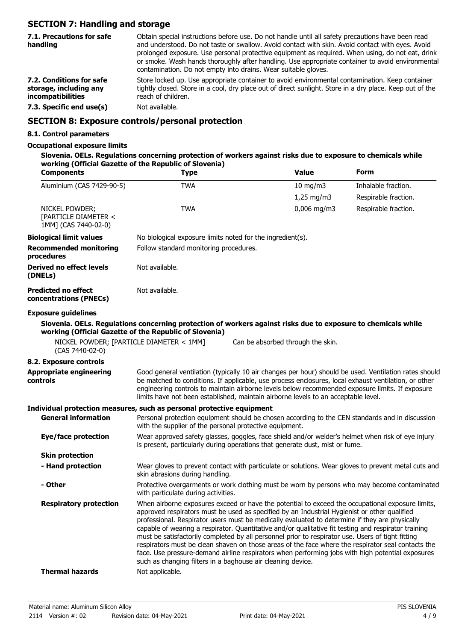# **SECTION 7: Handling and storage**

| 7.1. Precautions for safe<br>handling                                   | Obtain special instructions before use. Do not handle until all safety precautions have been read<br>and understood. Do not taste or swallow. Avoid contact with skin. Avoid contact with eyes. Avoid<br>prolonged exposure. Use personal protective equipment as required. When using, do not eat, drink<br>or smoke. Wash hands thoroughly after handling. Use appropriate container to avoid environmental<br>contamination. Do not empty into drains. Wear suitable gloves. |
|-------------------------------------------------------------------------|---------------------------------------------------------------------------------------------------------------------------------------------------------------------------------------------------------------------------------------------------------------------------------------------------------------------------------------------------------------------------------------------------------------------------------------------------------------------------------|
| 7.2. Conditions for safe<br>storage, including any<br>incompatibilities | Store locked up. Use appropriate container to avoid environmental contamination. Keep container<br>tightly closed. Store in a cool, dry place out of direct sunlight. Store in a dry place. Keep out of the<br>reach of children.                                                                                                                                                                                                                                               |
| 7.3. Specific end use(s)                                                | Not available.                                                                                                                                                                                                                                                                                                                                                                                                                                                                  |
|                                                                         |                                                                                                                                                                                                                                                                                                                                                                                                                                                                                 |

### **SECTION 8: Exposure controls/personal protection**

### **8.1. Control parameters**

### **Occupational exposure limits**

| Slovenia. OELs. Regulations concerning protection of workers against risks due to exposure to chemicals while |
|---------------------------------------------------------------------------------------------------------------|
| working (Official Gazette of the Republic of Slovenia)                                                        |

| <b>Components</b>                                                     | <b>Type</b>                                                                                                                                                                                                                                                                                                                                                                                                                                                                |                                        | <b>Value</b>  | <b>Form</b>                                                                                                                                                                                                                                                                                                |  |
|-----------------------------------------------------------------------|----------------------------------------------------------------------------------------------------------------------------------------------------------------------------------------------------------------------------------------------------------------------------------------------------------------------------------------------------------------------------------------------------------------------------------------------------------------------------|----------------------------------------|---------------|------------------------------------------------------------------------------------------------------------------------------------------------------------------------------------------------------------------------------------------------------------------------------------------------------------|--|
| Aluminium (CAS 7429-90-5)                                             | <b>TWA</b>                                                                                                                                                                                                                                                                                                                                                                                                                                                                 |                                        | $10$ mg/m $3$ | Inhalable fraction.                                                                                                                                                                                                                                                                                        |  |
|                                                                       |                                                                                                                                                                                                                                                                                                                                                                                                                                                                            |                                        | $1,25$ mg/m3  | Respirable fraction.                                                                                                                                                                                                                                                                                       |  |
| NICKEL POWDER;<br>[PARTICLE DIAMETER <<br>1MM] (CAS 7440-02-0)        | <b>TWA</b>                                                                                                                                                                                                                                                                                                                                                                                                                                                                 |                                        | $0,006$ mg/m3 | Respirable fraction.                                                                                                                                                                                                                                                                                       |  |
| <b>Biological limit values</b>                                        | No biological exposure limits noted for the ingredient(s).                                                                                                                                                                                                                                                                                                                                                                                                                 |                                        |               |                                                                                                                                                                                                                                                                                                            |  |
| <b>Recommended monitoring</b><br>procedures                           |                                                                                                                                                                                                                                                                                                                                                                                                                                                                            | Follow standard monitoring procedures. |               |                                                                                                                                                                                                                                                                                                            |  |
| <b>Derived no effect levels</b><br>(DNELs)                            | Not available.                                                                                                                                                                                                                                                                                                                                                                                                                                                             |                                        |               |                                                                                                                                                                                                                                                                                                            |  |
| <b>Predicted no effect</b><br>concentrations (PNECs)                  | Not available.                                                                                                                                                                                                                                                                                                                                                                                                                                                             |                                        |               |                                                                                                                                                                                                                                                                                                            |  |
| <b>Exposure guidelines</b>                                            |                                                                                                                                                                                                                                                                                                                                                                                                                                                                            |                                        |               |                                                                                                                                                                                                                                                                                                            |  |
|                                                                       | Slovenia. OELs. Regulations concerning protection of workers against risks due to exposure to chemicals while<br>working (Official Gazette of the Republic of Slovenia)                                                                                                                                                                                                                                                                                                    |                                        |               |                                                                                                                                                                                                                                                                                                            |  |
| NICKEL POWDER; [PARTICLE DIAMETER < 1MM]<br>(CAS 7440-02-0)           |                                                                                                                                                                                                                                                                                                                                                                                                                                                                            | Can be absorbed through the skin.      |               |                                                                                                                                                                                                                                                                                                            |  |
| 8.2. Exposure controls                                                |                                                                                                                                                                                                                                                                                                                                                                                                                                                                            |                                        |               |                                                                                                                                                                                                                                                                                                            |  |
| <b>Appropriate engineering</b><br>controls                            | Good general ventilation (typically 10 air changes per hour) should be used. Ventilation rates should<br>be matched to conditions. If applicable, use process enclosures, local exhaust ventilation, or other<br>engineering controls to maintain airborne levels below recommended exposure limits. If exposure<br>limits have not been established, maintain airborne levels to an acceptable level.                                                                     |                                        |               |                                                                                                                                                                                                                                                                                                            |  |
| Individual protection measures, such as personal protective equipment |                                                                                                                                                                                                                                                                                                                                                                                                                                                                            |                                        |               |                                                                                                                                                                                                                                                                                                            |  |
| <b>General information</b>                                            | Personal protection equipment should be chosen according to the CEN standards and in discussion<br>with the supplier of the personal protective equipment.                                                                                                                                                                                                                                                                                                                 |                                        |               |                                                                                                                                                                                                                                                                                                            |  |
| <b>Eye/face protection</b>                                            | Wear approved safety glasses, goggles, face shield and/or welder's helmet when risk of eye injury<br>is present, particularly during operations that generate dust, mist or fume.                                                                                                                                                                                                                                                                                          |                                        |               |                                                                                                                                                                                                                                                                                                            |  |
| <b>Skin protection</b>                                                |                                                                                                                                                                                                                                                                                                                                                                                                                                                                            |                                        |               |                                                                                                                                                                                                                                                                                                            |  |
| - Hand protection                                                     | Wear gloves to prevent contact with particulate or solutions. Wear gloves to prevent metal cuts and<br>skin abrasions during handling.                                                                                                                                                                                                                                                                                                                                     |                                        |               |                                                                                                                                                                                                                                                                                                            |  |
| - Other                                                               | Protective overgarments or work clothing must be worn by persons who may become contaminated<br>with particulate during activities.                                                                                                                                                                                                                                                                                                                                        |                                        |               |                                                                                                                                                                                                                                                                                                            |  |
| <b>Respiratory protection</b>                                         | approved respirators must be used as specified by an Industrial Hygienist or other qualified<br>professional. Respirator users must be medically evaluated to determine if they are physically<br>capable of wearing a respirator. Quantitative and/or qualitative fit testing and respirator training<br>must be satisfactorily completed by all personnel prior to respirator use. Users of tight fitting<br>such as changing filters in a baghouse air cleaning device. |                                        |               | When airborne exposures exceed or have the potential to exceed the occupational exposure limits,<br>respirators must be clean shaven on those areas of the face where the respirator seal contacts the<br>face. Use pressure-demand airline respirators when performing jobs with high potential exposures |  |
| <b>Thermal hazards</b>                                                | Not applicable.                                                                                                                                                                                                                                                                                                                                                                                                                                                            |                                        |               |                                                                                                                                                                                                                                                                                                            |  |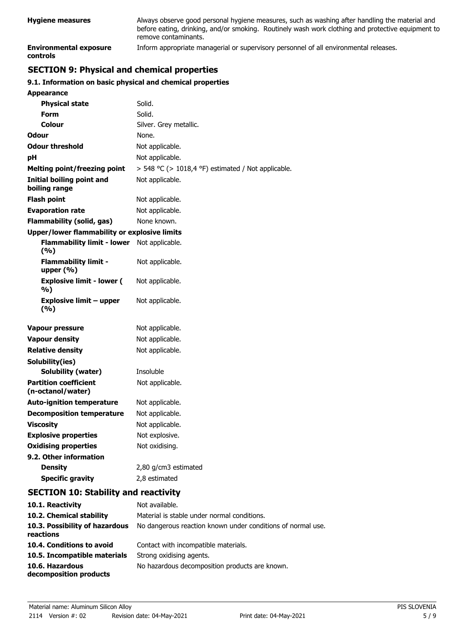| <b>Hygiene measures</b>                   | Always observe good personal hygiene measures, such as washing after handling the material and<br>before eating, drinking, and/or smoking. Routinely wash work clothing and protective equipment to<br>remove contaminants. |
|-------------------------------------------|-----------------------------------------------------------------------------------------------------------------------------------------------------------------------------------------------------------------------------|
| <b>Environmental exposure</b><br>controls | Inform appropriate managerial or supervisory personnel of all environmental releases.                                                                                                                                       |

# **SECTION 9: Physical and chemical properties**

### **9.1. Information on basic physical and chemical properties**

| <b>Appearance</b>                                 |                                                    |
|---------------------------------------------------|----------------------------------------------------|
| <b>Physical state</b>                             | Solid.                                             |
| <b>Form</b>                                       | Solid.                                             |
| Colour                                            | Silver. Grey metallic.                             |
| <b>Odour</b>                                      | None.                                              |
| <b>Odour threshold</b>                            | Not applicable.                                    |
| рH                                                | Not applicable.                                    |
| <b>Melting point/freezing point</b>               | > 548 °C (> 1018,4 °F) estimated / Not applicable. |
| <b>Initial boiling point and</b><br>boiling range | Not applicable.                                    |
| <b>Flash point</b>                                | Not applicable.                                    |
| <b>Evaporation rate</b>                           | Not applicable.                                    |
| Flammability (solid, gas)                         | None known.                                        |
| Upper/lower flammability or explosive limits      |                                                    |
| <b>Flammability limit - lower</b><br>(9/6)        | Not applicable.                                    |
| <b>Flammability limit -</b><br>upper $(\% )$      | Not applicable.                                    |
| <b>Explosive limit - lower (</b><br>%)            | Not applicable.                                    |
| <b>Explosive limit - upper</b><br>(%)             | Not applicable.                                    |
| Vapour pressure                                   | Not applicable.                                    |
| <b>Vapour density</b>                             | Not applicable.                                    |
| <b>Relative density</b>                           | Not applicable.                                    |
| Solubility(ies)                                   |                                                    |
| Solubility (water)                                | Insoluble                                          |
| <b>Partition coefficient</b><br>(n-octanol/water) | Not applicable.                                    |
| <b>Auto-ignition temperature</b>                  | Not applicable.                                    |
| <b>Decomposition temperature</b>                  | Not applicable.                                    |
| <b>Viscosity</b>                                  | Not applicable.                                    |
| <b>Explosive properties</b>                       | Not explosive.                                     |
| <b>Oxidising properties</b>                       | Not oxidising.                                     |
| 9.2. Other information                            |                                                    |
| <b>Density</b>                                    | 2,80 g/cm3 estimated                               |
| <b>Specific gravity</b>                           | 2,8 estimated                                      |
| <b>SECTION 10: Stability and reactivity</b>       |                                                    |
| 10.1. Reactivity                                  | Not available.                                     |
| 10.2. Chemical stability                          | Material is stable under normal conditions.        |

| <u>ivul avaliable.</u>                                      |
|-------------------------------------------------------------|
| Material is stable under normal conditions.                 |
| No dangerous reaction known under conditions of normal use. |
| Contact with incompatible materials.                        |
| Strong oxidising agents.                                    |
| No hazardous decomposition products are known.              |
|                                                             |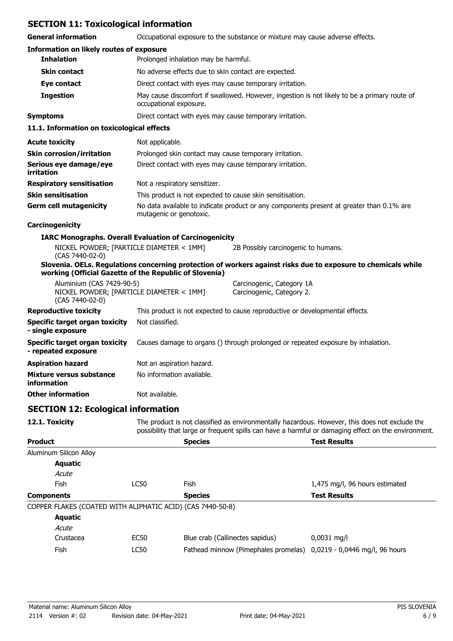### **SECTION 11: Toxicological information**

| <b>SECTION 11: Toxicological information</b>                                             |                                                                                                                        |                                                                                                               |  |
|------------------------------------------------------------------------------------------|------------------------------------------------------------------------------------------------------------------------|---------------------------------------------------------------------------------------------------------------|--|
| <b>General information</b>                                                               |                                                                                                                        | Occupational exposure to the substance or mixture may cause adverse effects.                                  |  |
| <b>Information on likely routes of exposure</b>                                          |                                                                                                                        |                                                                                                               |  |
| <b>Inhalation</b>                                                                        | Prolonged inhalation may be harmful.                                                                                   |                                                                                                               |  |
| <b>Skin contact</b>                                                                      | No adverse effects due to skin contact are expected.                                                                   |                                                                                                               |  |
| Eye contact                                                                              | Direct contact with eyes may cause temporary irritation.                                                               |                                                                                                               |  |
| <b>Ingestion</b>                                                                         | May cause discomfort if swallowed. However, ingestion is not likely to be a primary route of<br>occupational exposure. |                                                                                                               |  |
| <b>Symptoms</b>                                                                          | Direct contact with eyes may cause temporary irritation.                                                               |                                                                                                               |  |
| 11.1. Information on toxicological effects                                               |                                                                                                                        |                                                                                                               |  |
| <b>Acute toxicity</b>                                                                    | Not applicable.                                                                                                        |                                                                                                               |  |
| <b>Skin corrosion/irritation</b>                                                         | Prolonged skin contact may cause temporary irritation.                                                                 |                                                                                                               |  |
| Serious eye damage/eye<br>irritation                                                     | Direct contact with eyes may cause temporary irritation.                                                               |                                                                                                               |  |
| <b>Respiratory sensitisation</b>                                                         | Not a respiratory sensitizer.                                                                                          |                                                                                                               |  |
| <b>Skin sensitisation</b>                                                                | This product is not expected to cause skin sensitisation.                                                              |                                                                                                               |  |
| <b>Germ cell mutagenicity</b>                                                            | mutagenic or genotoxic.                                                                                                | No data available to indicate product or any components present at greater than 0.1% are                      |  |
| Carcinogenicity                                                                          |                                                                                                                        |                                                                                                               |  |
|                                                                                          | <b>IARC Monographs. Overall Evaluation of Carcinogenicity</b>                                                          |                                                                                                               |  |
| NICKEL POWDER; [PARTICLE DIAMETER < 1MM]<br>(CAS 7440-02-0)                              |                                                                                                                        | 2B Possibly carcinogenic to humans.                                                                           |  |
| working (Official Gazette of the Republic of Slovenia)                                   |                                                                                                                        | Slovenia. OELs. Regulations concerning protection of workers against risks due to exposure to chemicals while |  |
| Aluminium (CAS 7429-90-5)<br>NICKEL POWDER; [PARTICLE DIAMETER < 1MM]<br>(CAS 7440-02-0) |                                                                                                                        | Carcinogenic, Category 1A<br>Carcinogenic, Category 2.                                                        |  |
| <b>Reproductive toxicity</b>                                                             | This product is not expected to cause reproductive or developmental effects.                                           |                                                                                                               |  |
| <b>Specific target organ toxicity</b><br>- single exposure                               | Not classified.                                                                                                        |                                                                                                               |  |
| <b>Specific target organ toxicity</b><br>- repeated exposure                             | Causes damage to organs () through prolonged or repeated exposure by inhalation.                                       |                                                                                                               |  |
| <b>Aspiration hazard</b>                                                                 | Not an aspiration hazard.                                                                                              |                                                                                                               |  |
| <b>Mixture versus substance</b><br>information                                           | No information available.                                                                                              |                                                                                                               |  |
| <b>Other information</b>                                                                 | Not available.                                                                                                         |                                                                                                               |  |
| <b>SECTION 12: Ecological information</b>                                                |                                                                                                                        |                                                                                                               |  |

12.1. Toxicity The product is not classified as environmentally hazardous. However, this does not exclude the possibility that large or frequent spills can have a harmful or damaging effect on the environment.

| <b>Product</b>         |                                                            | <b>Species</b>                                                      | <b>Test Results</b>            |
|------------------------|------------------------------------------------------------|---------------------------------------------------------------------|--------------------------------|
| Aluminum Silicon Alloy |                                                            |                                                                     |                                |
| Aquatic                |                                                            |                                                                     |                                |
| Acute                  |                                                            |                                                                     |                                |
| Fish                   | LC50                                                       | Fish                                                                | 1,475 mg/l, 96 hours estimated |
| <b>Components</b>      |                                                            | <b>Species</b>                                                      | <b>Test Results</b>            |
|                        | COPPER FLAKES (COATED WITH ALIPHATIC ACID) (CAS 7440-50-8) |                                                                     |                                |
| <b>Aquatic</b>         |                                                            |                                                                     |                                |
| Acute                  |                                                            |                                                                     |                                |
| Crustacea              | EC50                                                       | Blue crab (Callinectes sapidus)                                     | $0,0031$ mg/l                  |
| Fish                   | LC50                                                       | Fathead minnow (Pimephales promelas) 0,0219 - 0,0446 mg/l, 96 hours |                                |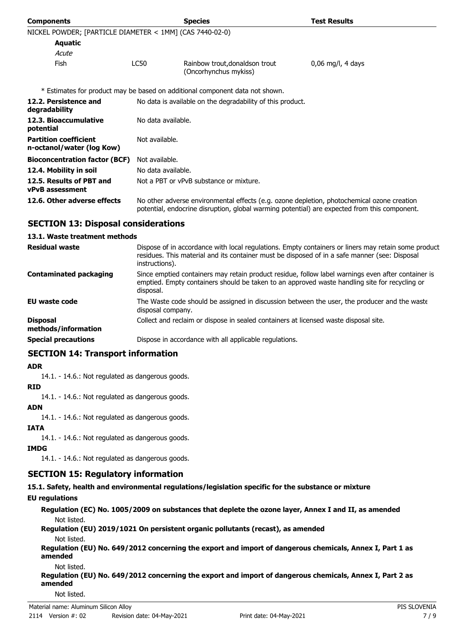| <b>Components</b>                                         |                                                                                                                                                                                            | <b>Species</b>                                                               | <b>Test Results</b> |
|-----------------------------------------------------------|--------------------------------------------------------------------------------------------------------------------------------------------------------------------------------------------|------------------------------------------------------------------------------|---------------------|
| NICKEL POWDER; [PARTICLE DIAMETER < 1MM] (CAS 7440-02-0)  |                                                                                                                                                                                            |                                                                              |                     |
| <b>Aquatic</b>                                            |                                                                                                                                                                                            |                                                                              |                     |
| Acute                                                     |                                                                                                                                                                                            |                                                                              |                     |
| Fish                                                      | LC50                                                                                                                                                                                       | Rainbow trout, donaldson trout<br>(Oncorhynchus mykiss)                      | $0,06$ mg/l, 4 days |
|                                                           |                                                                                                                                                                                            | * Estimates for product may be based on additional component data not shown. |                     |
| 12.2. Persistence and<br>degradability                    | No data is available on the degradability of this product.                                                                                                                                 |                                                                              |                     |
| 12.3. Bioaccumulative<br>potential                        | No data available.                                                                                                                                                                         |                                                                              |                     |
| <b>Partition coefficient</b><br>n-octanol/water (log Kow) | Not available.                                                                                                                                                                             |                                                                              |                     |
| <b>Bioconcentration factor (BCF)</b>                      | Not available.                                                                                                                                                                             |                                                                              |                     |
| 12.4. Mobility in soil                                    | No data available.                                                                                                                                                                         |                                                                              |                     |
| 12.5. Results of PBT and<br><b>vPvB</b> assessment        | Not a PBT or vPvB substance or mixture.                                                                                                                                                    |                                                                              |                     |
| 12.6. Other adverse effects                               | No other adverse environmental effects (e.g. ozone depletion, photochemical ozone creation<br>potential, endocrine disruption, global warming potential) are expected from this component. |                                                                              |                     |

### **SECTION 13: Disposal considerations**

#### **13.1. Waste treatment methods**

| <b>Residual waste</b>                  | Dispose of in accordance with local regulations. Empty containers or liners may retain some product<br>residues. This material and its container must be disposed of in a safe manner (see: Disposal<br>instructions). |
|----------------------------------------|------------------------------------------------------------------------------------------------------------------------------------------------------------------------------------------------------------------------|
| <b>Contaminated packaging</b>          | Since emptied containers may retain product residue, follow label warnings even after container is<br>emptied. Empty containers should be taken to an approved waste handling site for recycling or<br>disposal.       |
| <b>EU waste code</b>                   | The Waste code should be assigned in discussion between the user, the producer and the waste<br>disposal company.                                                                                                      |
| <b>Disposal</b><br>methods/information | Collect and reclaim or dispose in sealed containers at licensed waste disposal site.                                                                                                                                   |
| <b>Special precautions</b>             | Dispose in accordance with all applicable regulations.                                                                                                                                                                 |

### **SECTION 14: Transport information**

#### **ADR**

14.1. - 14.6.: Not regulated as dangerous goods.

#### **RID**

14.1. - 14.6.: Not regulated as dangerous goods.

### **ADN**

14.1. - 14.6.: Not regulated as dangerous goods.

### **IATA**

14.1. - 14.6.: Not regulated as dangerous goods.

# **IMDG**

14.1. - 14.6.: Not regulated as dangerous goods.

### **SECTION 15: Regulatory information**

**15.1. Safety, health and environmental regulations/legislation specific for the substance or mixture**

### **EU regulations**

**Regulation (EC) No. 1005/2009 on substances that deplete the ozone layer, Annex I and II, as amended** Not listed.

#### **Regulation (EU) 2019/1021 On persistent organic pollutants (recast), as amended** Not listed.

**Regulation (EU) No. 649/2012 concerning the export and import of dangerous chemicals, Annex I, Part 1 as amended**

Not listed.

**Regulation (EU) No. 649/2012 concerning the export and import of dangerous chemicals, Annex I, Part 2 as amended**

Not listed.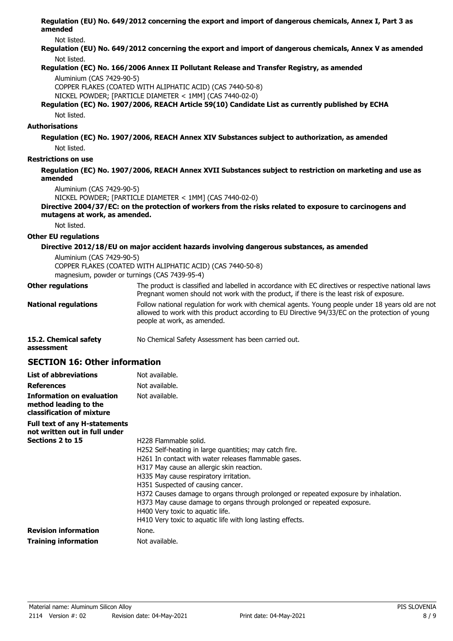**Regulation (EU) No. 649/2012 concerning the export and import of dangerous chemicals, Annex I, Part 3 as amended**

Not listed.

**Regulation (EU) No. 649/2012 concerning the export and import of dangerous chemicals, Annex V as amended** Not listed.

#### **Regulation (EC) No. 166/2006 Annex II Pollutant Release and Transfer Registry, as amended**

Aluminium (CAS 7429-90-5)

COPPER FLAKES (COATED WITH ALIPHATIC ACID) (CAS 7440-50-8)

NICKEL POWDER; [PARTICLE DIAMETER < 1MM] (CAS 7440-02-0)

#### **Regulation (EC) No. 1907/2006, REACH Article 59(10) Candidate List as currently published by ECHA** Not listed.

#### **Authorisations**

**Regulation (EC) No. 1907/2006, REACH Annex XIV Substances subject to authorization, as amended** Not listed.

**Restrictions on use**

#### **Regulation (EC) No. 1907/2006, REACH Annex XVII Substances subject to restriction on marketing and use as amended**

Aluminium (CAS 7429-90-5)

NICKEL POWDER; [PARTICLE DIAMETER < 1MM] (CAS 7440-02-0)

#### **Directive 2004/37/EC: on the protection of workers from the risks related to exposure to carcinogens and mutagens at work, as amended.**

Not listed.

#### **Other EU regulations**

#### **Directive 2012/18/EU on major accident hazards involving dangerous substances, as amended**

Aluminium (CAS 7429-90-5)

COPPER FLAKES (COATED WITH ALIPHATIC ACID) (CAS 7440-50-8) magnesium, powder or turnings (CAS 7439-95-4)

#### **Other regulations**

The product is classified and labelled in accordance with EC directives or respective national laws. Pregnant women should not work with the product, if there is the least risk of exposure.

- Follow national regulation for work with chemical agents. Young people under 18 years old are not allowed to work with this product according to EU Directive 94/33/EC on the protection of young people at work, as amended. **National regulations**
- **15.2. Chemical safety** No Chemical Safety Assessment has been carried out.

**assessment**

### **SECTION 16: Other information**

| <b>List of abbreviations</b>                                                    | Not available.                                                                                                                                                                                                                                                                                                                                                                                                                                                                                                                                     |
|---------------------------------------------------------------------------------|----------------------------------------------------------------------------------------------------------------------------------------------------------------------------------------------------------------------------------------------------------------------------------------------------------------------------------------------------------------------------------------------------------------------------------------------------------------------------------------------------------------------------------------------------|
| References                                                                      | Not available.                                                                                                                                                                                                                                                                                                                                                                                                                                                                                                                                     |
| Information on evaluation<br>method leading to the<br>classification of mixture | Not available.                                                                                                                                                                                                                                                                                                                                                                                                                                                                                                                                     |
| <b>Full text of any H-statements</b><br>not written out in full under           |                                                                                                                                                                                                                                                                                                                                                                                                                                                                                                                                                    |
| Sections 2 to 15                                                                | H <sub>228</sub> Flammable solid.<br>H252 Self-heating in large quantities; may catch fire.<br>H261 In contact with water releases flammable gases.<br>H317 May cause an allergic skin reaction.<br>H335 May cause respiratory irritation.<br>H351 Suspected of causing cancer.<br>H372 Causes damage to organs through prolonged or repeated exposure by inhalation.<br>H373 May cause damage to organs through prolonged or repeated exposure.<br>H400 Very toxic to aquatic life.<br>H410 Very toxic to aquatic life with long lasting effects. |
| <b>Revision information</b>                                                     | None.                                                                                                                                                                                                                                                                                                                                                                                                                                                                                                                                              |
| Training information                                                            | Not available.                                                                                                                                                                                                                                                                                                                                                                                                                                                                                                                                     |